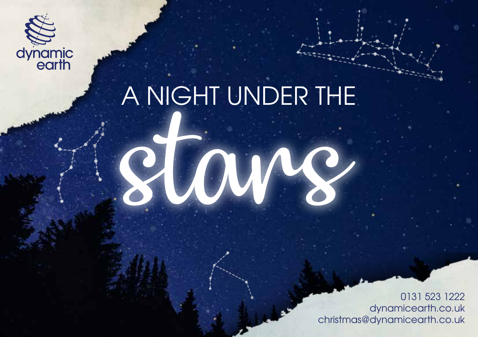

# A NIGHT UNDER THE

stars

0131 523 1222 dynamicearth.co.uk christmas@dynamicearth.co.uk